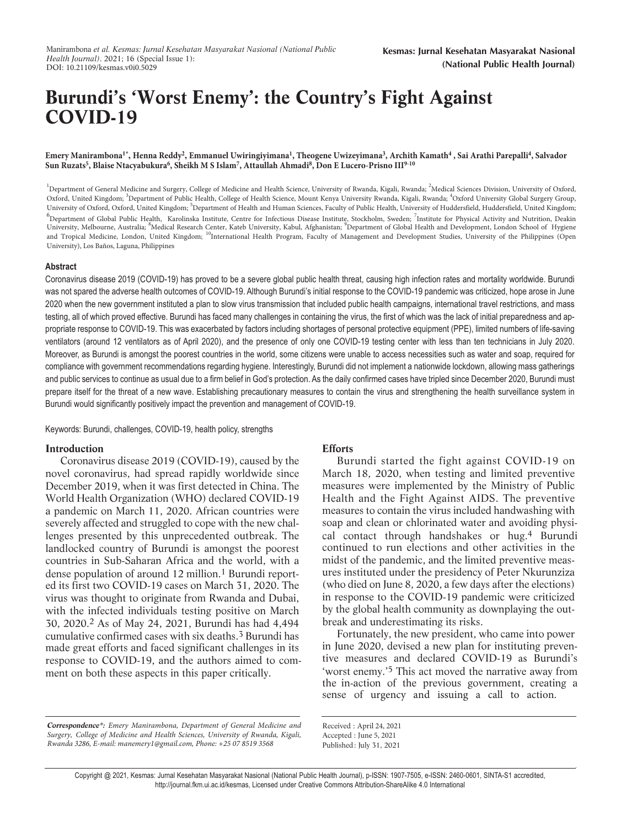# **Burundi's 'Worst Enemy': the Country's Fight Against COVID-19**

Emery Manirambona<sup>1\*</sup>, Henna Reddy<sup>2</sup>, Emmanuel Uwiringiyimana<sup>1</sup>, Theogene Uwizeyimana<sup>3</sup>, Archith Kamath<sup>4</sup> , Sai Arathi Parepalli<sup>4</sup>, Salvador **Sun Ruzats<sup>5</sup> , Blaise Ntacyabukura<sup>6</sup> , Sheikh M S Islam<sup>7</sup> , Attaullah Ahmadi<sup>8</sup> , Don E Lucero-Prisno III9-10**

<sup>1</sup>Department of General Medicine and Surgery, College of Medicine and Health Science, University of Rwanda, Kigali, Rwanda; <sup>2</sup>Medical Sciences Division, University of Oxford, Oxford, United Kingdom; <sup>3</sup>Department of Public Health, College of Health Science, Mount Kenya University Rwanda, Kigali, Rwanda; <sup>4</sup>Oxford University Global Surgery Group, University of Oxford, Oxford, United Kingdom; <sup>5</sup>Department of Health and Human Sciences, Faculty of Public Health, University of Huddersfield, Huddersfield, United Kingdom; <sup>6</sup> Department of Global Public Health, Karolinska Institute, Centre for Infectious Disease Institute, Stockholm, Sweden; <sup>7</sup>Institute for Physical Activity and Nutrition, Deakin University, Melbourne, Australia; <sup>8</sup>Medical Research Center, Kateb University, Kabul, Afghanistan; <sup>9</sup>Department of Global Health and Development, London School of Hygiene and Tropical Medicine, London, United Kingdom; <sup>10</sup>International Health Program, Faculty of Management and Development Studies, University of the Philippines (Open University), Los Baños, Laguna, Philippines

#### **Abstract**

Coronavirus disease 2019 (COVID-19) has proved to be a severe global public health threat, causing high infection rates and mortality worldwide. Burundi was not spared the adverse health outcomes of COVID-19. Although Burundi's initial response to the COVID-19 pandemic was criticized, hope arose in June 2020 when the new government instituted a plan to slow virus transmission that included public health campaigns, international travel restrictions, and mass testing, all of which proved effective. Burundi has faced many challenges in containing the virus, the first of which was the lack of initial preparedness and appropriate response to COVID-19. This was exacerbated by factors including shortages of personal protective equipment (PPE), limited numbers of life-saving ventilators (around 12 ventilators as of April 2020), and the presence of only one COVID-19 testing center with less than ten technicians in July 2020. Moreover, as Burundi is amongst the poorest countries in the world, some citizens were unable to access necessities such as water and soap, required for compliance with government recommendations regarding hygiene. Interestingly, Burundi did not implement a nationwide lockdown, allowing mass gatherings and public services to continue as usual due to a firm belief in God's protection. As the daily confirmed cases have tripled since December 2020, Burundi must prepare itself for the threat of a new wave. Establishing precautionary measures to contain the virus and strengthening the health surveillance system in Burundi would significantly positively impact the prevention and management of COVID-19.

Keywords: Burundi, challenges, COVID-19, health policy, strengths

# **Introduction**

Coronavirus disease 2019 (COVID-19), caused by the novel coronavirus, had spread rapidly worldwide since December 2019, when it was first detected in China. The World Health Organization (WHO) declared COVID-19 a pandemic on March 11, 2020. African countries were severely affected and struggled to cope with the new challenges presented by this unprecedented outbreak. The landlocked country of Burundi is amongst the poorest countries in Sub-Saharan Africa and the world, with a dense population of around [1](#page-3-0)2 million.<sup>1</sup> Burundi reported its first two COVID-19 cases on March 31, 2020. The virus was thought to originate from Rwanda and Dubai, with the infected individuals testing positive on March 30, 2020.[2](#page-3-0) As of May 24, 2021, Burundi has had 4,494 cumulative confirmed cases with six deaths.[3](#page-3-0) Burundi has made great efforts and faced significant challenges in its response to COVID-19, and the authors aimed to comment on both these aspects in this paper critically.

# **Efforts**

Burundi started the fight against COVID-19 on March 18, 2020, when testing and limited preventive measures were implemented by the Ministry of Public Health and the Fight Against AIDS. The preventive measures to contain the virus included handwashing with soap and clean or chlorinated water and avoiding physical contact through handshakes or hug.[4](#page-3-0) Burundi continued to run elections and other activities in the midst of the pandemic, and the limited preventive measures instituted under the presidency of Peter Nkurunziza (who died on June 8, 2020, a few days after the elections) in response to the COVID-19 pandemic were criticized by the global health community as downplaying the outbreak and underestimating its risks.

Fortunately, the new president, who came into power in June 2020, devised a new plan for instituting preventive measures and declared COVID-19 as Burundi's 'worst enemy.'[5](#page-3-0) This act moved the narrative away from the in-action of the previous government, creating a sense of urgency and issuing a call to action.

Received : April 24, 2021 Accepted : June 5, 2021 Published: July 31, 2021

Copyright @ 2021, Kesmas: Jurnal Kesehatan Masyarakat Nasional (National Public Health Journal), p-ISSN: 1907-7505, e-ISSN: 2460-0601, SINTA-S1 accredited, http://journal.fkm.ui.ac.id/kesmas, Licensed under Creative Commons Attribution-ShareAlike 4.0 International

**Correspondence\*:** *Emery Manirambona, Department of General Medicine and Surgery, College of Medicine and Health Sciences, University of Rwanda, Kigali, Rwanda 3286, E-mail: manemery1@gmail.com, Phone: +25 07 8519 3568*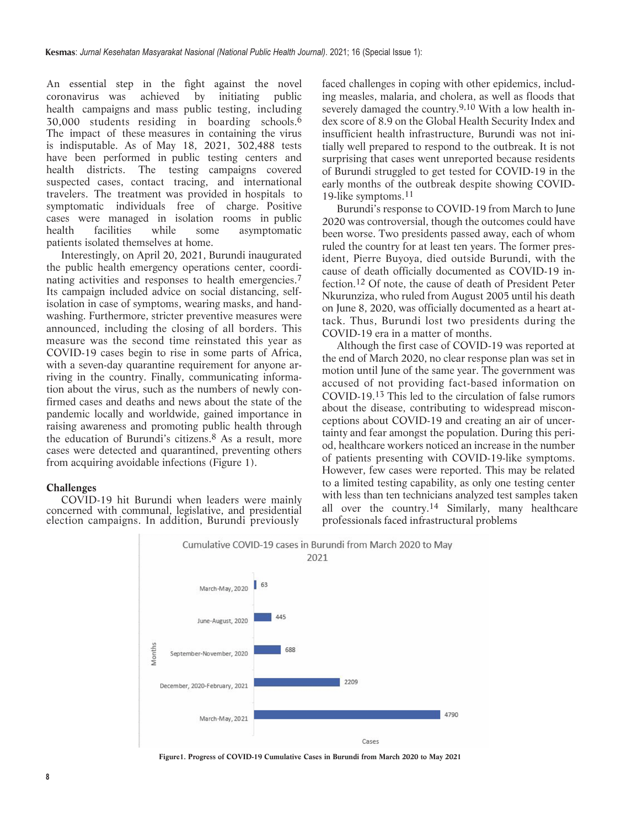An essential step in the fight against the novel coronavirus was achieved by initiating public health campaigns and mass public testing, including 30,000 students residing in boarding schools.[6](#page-3-0) The impact of these measures in containing the virus is indisputable. As of May 18, 2021, 302,488 tests have been performed in public testing centers and health districts. The testing campaigns covered suspected cases, contact tracing, and international travelers. The treatment was provided in hospitals to symptomatic individuals free of charge. Positive cases were managed in isolation rooms in public health facilities while some asymptomatic patients isolated themselves at home.

Interestingly, on April 20, 2021, Burundi inaugurated the public health emergency operations center, coordi-nating activities and responses to health emergencies.<sup>[7](#page-3-0)</sup> Its campaign included advice on social distancing, selfisolation in case of symptoms, wearing masks, and handwashing. Furthermore, stricter preventive measures were announced, including the closing of all borders. This measure was the second time reinstated this year as COVID-19 cases begin to rise in some parts of Africa, with a seven-day quarantine requirement for anyone arriving in the country. Finally, communicating information about the virus, such as the numbers of newly confirmed cases and deaths and news about the state of the pandemic locally and worldwide, gained importance in raising awareness and promoting public health through the education of Burundi's citizens.[8](#page-3-0) As a result, more cases were detected and quarantined, preventing others from acquiring avoidable infections (Figure 1).

#### **Challenges**

COVID-19 hit Burundi when leaders were mainly concerned with communal, legislative, and presidential election campaigns. In addition, Burundi previously

faced challenges in coping with other epidemics, including measles, malaria, and cholera, as well as floods that severely damaged the country.<sup>9,10</sup> With a low health index score of 8.9 on the Global Health Security Index and insufficient health infrastructure, Burundi was not initially well prepared to respond to the outbreak. It is not surprising that cases went unreported because residents of Burundi struggled to get tested for COVID-19 in the early months of the outbreak despite showing COVID-19-like symptoms.[11](#page-3-0)

Burundi's response to COVID-19 from March to June 2020 was controversial, though the outcomes could have been worse. Two presidents passed away, each of whom ruled the country for at least ten years. The former president, Pierre Buyoya, died outside Burundi, with the cause of death officially documented as COVID-19 infection.[12](#page-3-0) Of note, the cause of death of President Peter Nkurunziza, who ruled from August 2005 until his death on June 8, 2020, was officially documented as a heart attack. Thus, Burundi lost two presidents during the COVID-19 era in a matter of months.

Although the first case of COVID-19 was reported at the end of March 2020, no clear response plan was set in motion until June of the same year. The government was accused of not providing fact-based information on COVID-19.[13](#page-3-0) This led to the circulation of false rumors about the disease, contributing to widespread misconceptions about COVID-19 and creating an air of uncertainty and fear amongst the population. During this period, healthcare workers noticed an increase in the number of patients presenting with COVID-19-like symptoms. However, few cases were reported. This may be related to a limited testing capability, as only one testing center with less than ten technicians analyzed test samples taken all over the country.[14](#page-3-0) Similarly, many healthcare professionals faced infrastructural problems



**Figure1. Progress of COVID-19 Cumulative Cases in Burundi from March 2020 to May 2021**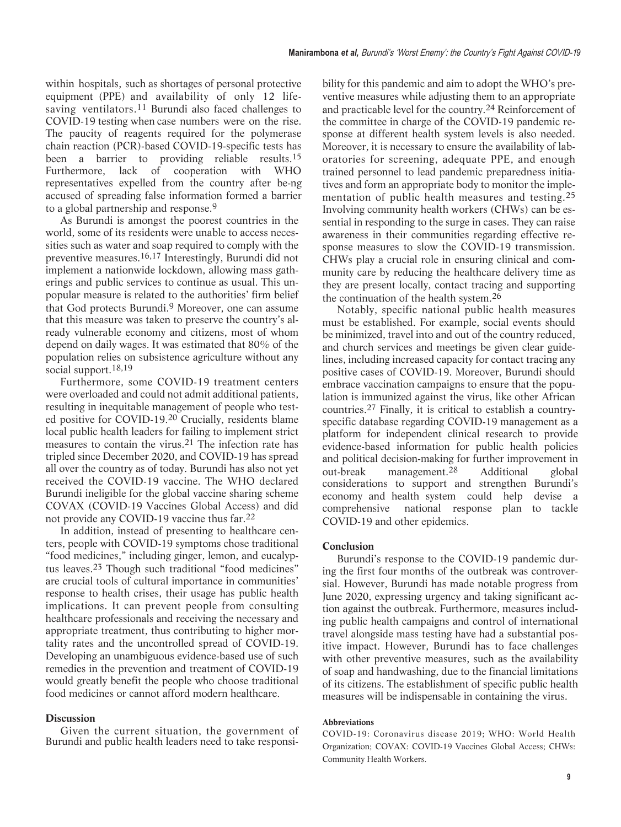within hospitals, such as shortages of personal protective equipment (PPE) and availability of only 12 life-saving ventilators.<sup>[11](#page-3-0)</sup> Burundi also faced challenges to COVID-19 testing when case numbers were on the rise. The paucity of reagents required for the polymerase chain reaction (PCR)-based COVID-19-specific tests has been a barrier to providing reliable results.[15](#page-3-0) Furthermore, lack of cooperation with WHO representatives expelled from the country after be-ng accused of spreading false information formed a barrier to a global partnership and response.[9](#page-3-0)

As Burundi is amongst the poorest countries in the world, some of its residents were unable to access necessities such as water and soap required to comply with the preventive measures.[16,17](#page-3-0) Interestingly, Burundi did not implement a nationwide lockdown, allowing mass gatherings and public services to continue as usual. This unpopular measure is related to the authorities' firm belief that God protects Burundi.9 Moreover, one can assume that this measure was taken to preserve the country's already vulnerable economy and citizens, most of whom depend on daily wages. It was estimated that 80% of the population relies on subsistence agriculture without any social support.[18,19](#page-3-0)

Furthermore, some COVID-19 treatment centers were overloaded and could not admit additional patients, resulting in inequitable management of people who tested positive for COVID-19.[20](#page-3-0) Crucially, residents blame local public health leaders for failing to implement strict measures to contain the virus.[21](#page-3-0) The infection rate has tripled since December 2020, and COVID-19 has spread all over the country as of today. Burundi has also not yet received the COVID-19 vaccine. The WHO declared Burundi ineligible for the global vaccine sharing scheme COVAX (COVID-19 Vaccines Global Access) and did not provide any COVID-19 vaccine thus far.[22](#page-3-0)

In addition, instead of presenting to healthcare centers, people with COVID-19 symptoms chose traditional "food medicines," including ginger, lemon, and eucalyptus leaves.[23](#page-3-0) Though such traditional "food medicines" are crucial tools of cultural importance in communities' response to health crises, their usage has public health implications. It can prevent people from consulting healthcare professionals and receiving the necessary and appropriate treatment, thus contributing to higher mortality rates and the uncontrolled spread of COVID-19. Developing an unambiguous evidence-based use of such remedies in the prevention and treatment of COVID-19 would greatly benefit the people who choose traditional food medicines or cannot afford modern healthcare.

# **Discussion**

Given the current situation, the government of Burundi and public health leaders need to take responsibility for this pandemic and aim to adopt the WHO's preventive measures while adjusting them to an appropriate and practicable level for the country.[24](#page-3-0) Reinforcement of the committee in charge of the COVID-19 pandemic response at different health system levels is also needed. Moreover, it is necessary to ensure the availability of laboratories for screening, adequate PPE, and enough trained personnel to lead pandemic preparedness initiatives and form an appropriate body to monitor the implementation of public health measures and testing.[25](#page-3-0) Involving community health workers (CHWs) can be essential in responding to the surge in cases. They can raise awareness in their communities regarding effective response measures to slow the COVID-19 transmission. CHWs play a crucial role in ensuring clinical and community care by reducing the healthcare delivery time as they are present locally, contact tracing and supporting the continuation of the health system.[26](#page-3-0)

Notably, specific national public health measures must be established. For example, social events should be minimized, travel into and out of the country reduced, and church services and meetings be given clear guidelines, including increased capacity for contact tracing any positive cases of COVID-19. Moreover, Burundi should embrace vaccination campaigns to ensure that the population is immunized against the virus, like other African countries.27 Finally, it is critical to establish a countryspecific database regarding COVID-19 management as a platform for independent clinical research to provide evidence-based information for public health policies and political decision-making for further improvement in out-break management.28 Additional global considerations to support and strengthen Burundi's economy and health system could help devise a comprehensive national response plan to tackle COVID-19 and other epidemics.

# **Conclusion**

Burundi's response to the COVID-19 pandemic during the first four months of the outbreak was controversial. However, Burundi has made notable progress from June 2020, expressing urgency and taking significant action against the outbreak. Furthermore, measures including public health campaigns and control of international travel alongside mass testing have had a substantial positive impact. However, Burundi has to face challenges with other preventive measures, such as the availability of soap and handwashing, due to the financial limitations of its citizens. The establishment of specific public health measures will be indispensable in containing the virus.

#### **Abbreviations**

COVID-19: Coronavirus disease 2019; WHO: World Health Organization; COVAX: COVID-19 Vaccines Global Access; CHWs: Community Health Workers.